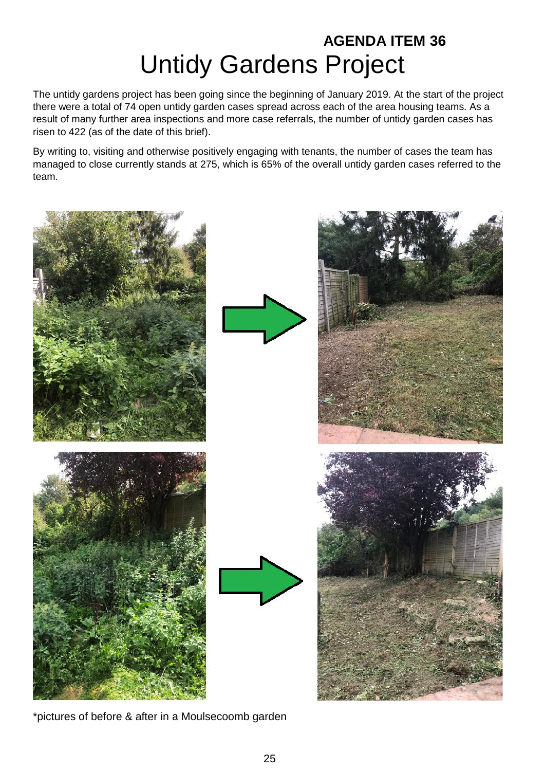## **AGENDA ITEM 36** Untidy Gardens Project

The untidy gardens project has been going since the beginning of January 2019. At the start of the project there were a total of 74 open untidy garden cases spread across each of the area housing teams. As a result of many further area inspections and more case referrals, the number of untidy garden cases has risen to 422 (as of the date of this brief).

By writing to, visiting and otherwise positively engaging with tenants, the number of cases the team has managed to close currently stands at 275, which is 65% of the overall untidy garden cases referred to the team.



\*pictures of before & after in a Moulsecoomb garden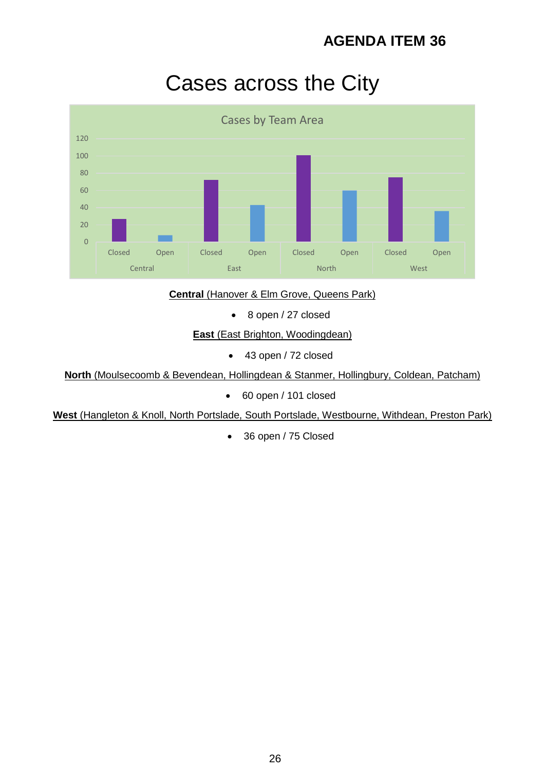## Cases across the City



#### **Central (Hanover & Elm Grove, Queens Park)**

• 8 open / 27 closed

**East** (East Brighton, Woodingdean)

43 open / 72 closed

**North** (Moulsecoomb & Bevendean, Hollingdean & Stanmer, Hollingbury, Coldean, Patcham)

60 open / 101 closed

**West** (Hangleton & Knoll, North Portslade, South Portslade, Westbourne, Withdean, Preston Park)

• 36 open / 75 Closed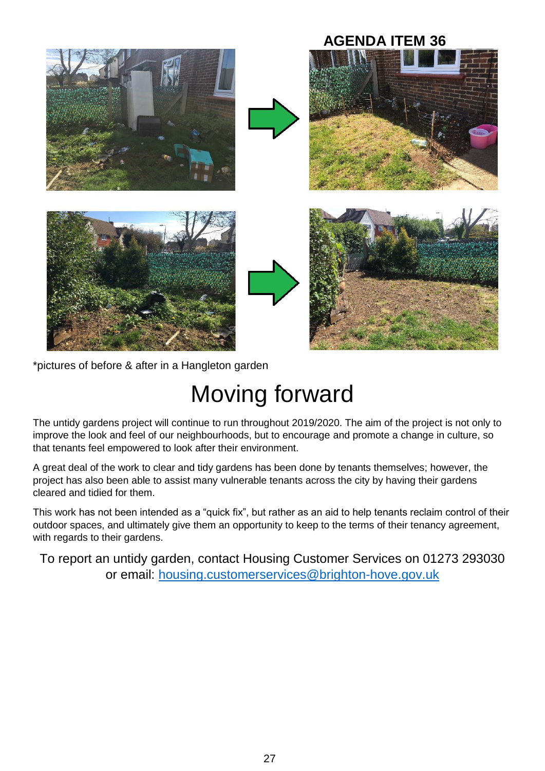

\*pictures of before & after in a Hangleton garden

# Moving forward

The untidy gardens project will continue to run throughout 2019/2020. The aim of the project is not only to improve the look and feel of our neighbourhoods, but to encourage and promote a change in culture, so that tenants feel empowered to look after their environment.

A great deal of the work to clear and tidy gardens has been done by tenants themselves; however, the project has also been able to assist many vulnerable tenants across the city by having their gardens cleared and tidied for them.

This work has not been intended as a "quick fix", but rather as an aid to help tenants reclaim control of their outdoor spaces, and ultimately give them an opportunity to keep to the terms of their tenancy agreement, with regards to their gardens.

To report an untidy garden, contact Housing Customer Services on 01273 293030 or email: [housing.customerservices@brighton-hove.gov.uk](mailto:housing.customerservices@brighton-hove.gov.uk)